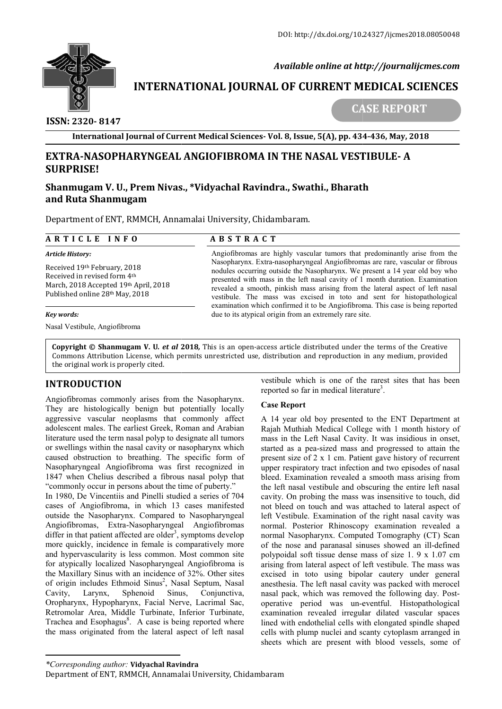

# **INTERNATIONAL JOURNAL OF CURRENT MEDICAL SCIENCES**<br>CASE REPORT

 **ISSN: 2320- 8147**

**CASE REPORT** 

**International Journal of Current Medical Sciences Sciences- Vol. 8, Issue, 5(A), pp. 434 434-436, May, 2018**

# **EXTRA-NASOPHARYNGEAL ANGIOFIBROMA IN THE NASAL VESTIBULE-A SURPRISE!** EXTRA-NASOPHARYNGEAL ANGIOFIBROMA IN THE NASAL VEST!<br>SURPRISE!<br>Shanmugam V. U., Prem Nivas., \*Vidyachal Ravindra., Swathi., Bharath

# **and Ruta Shanmugam**

Department of ENT, RMMCH, Annamalai University, Chidambaram.

| ARTICLE INFO                                                                                                                             | <b>ABSTRACT</b>                                                                                                                                                                                                                                                                                                                                                                                                                                                                                                                                                                                                                     |
|------------------------------------------------------------------------------------------------------------------------------------------|-------------------------------------------------------------------------------------------------------------------------------------------------------------------------------------------------------------------------------------------------------------------------------------------------------------------------------------------------------------------------------------------------------------------------------------------------------------------------------------------------------------------------------------------------------------------------------------------------------------------------------------|
| Article History:                                                                                                                         | Angiofibromas are highly vascular tumors that predominantly arise from the<br>Nasopharynx. Extra-nasopharyngeal Angiofibromas are rare, vascular or fibrous<br>nodules occurring outside the Nasopharynx. We present a 14 year old boy who<br>presented with mass in the left nasal cavity of 1 month duration. Examination<br>revealed a smooth, pinkish mass arising from the lateral aspect of left nasal<br>vestibule. The mass was excised in toto and sent for histopathological<br>examination which confirmed it to be Angiofibroma. This case is being reported<br>due to its atypical origin from an extremely rare site. |
| Received 19th February, 2018<br>Received in revised form 4th<br>March, 2018 Accepted 19th April, 2018<br>Published online 28th May, 2018 |                                                                                                                                                                                                                                                                                                                                                                                                                                                                                                                                                                                                                                     |
| Key words:                                                                                                                               |                                                                                                                                                                                                                                                                                                                                                                                                                                                                                                                                                                                                                                     |
| Nasal Vestibule, Angiofibroma                                                                                                            |                                                                                                                                                                                                                                                                                                                                                                                                                                                                                                                                                                                                                                     |

**Copyright © Shanmugam V. U***. et al* **201 2018***,* This is an open-access article distributed under the terms of the Creative **Copyright © Shanmugam V. U***. et al* **2018,** This is an open-access article distributed under the terms of the Creative<br>Commons Attribution License, which permits unrestricted use, distribution and reproduction in any mediu the original work is properly cited.

# **INTRODUCTION**

Angiofibromas commonly arises from the Nasopharynx. They are histologically benign but potentially locally aggressive vascular neoplasms that commonly affect adolescent males. The earliest Greek, Roman and Arabian literature used the term nasal polyp to designate all tumors or swellings within the nasal cavity or nasopharynx which caused obstruction to breathing. The specific form of Nasopharyngeal Angiofibroma was first recognized in 1847 when Chelius described a fibrous nasal polyp that "commonly occur in persons about the time of puberty." In 1980, De Vincentiis and Pinelli studied a series of 704 cases of Angiofibroma, in which 13 cases manifested outside the Nasopharynx. Compared to Nasopharyngeal Angiofibromas, Extra-Nasopharyngeal Angiofibromas differ in that patient affected are older<sup>3</sup>, symptoms develop more quickly, incidence in female is comparatively more and hypervascularity is less common. Most common site for atypically localized Nasopharyngeal Angiofibroma is the Maxillary Sinus with an incidence of 32%. Other sites of origin includes Ethmoid Sinus<sup>2</sup>, Nasal Septum, Nasal Cavity, Larynx, Sphenoid Sinus, Conjunctiva, Oropharynx, Hypopharynx, Facial Nerve, Lacrimal Sac, Retromolar Area, Middle Turbinate, Inferior Turbinate, Trachea and Esophagus<sup>8</sup>. A case is being reported where the mass originated from the lateral aspect of left nasal

reported so far in medical literature . vestibule which is one of the rarest sites that has been

# **Case Report**

Available online at http://journaligmes.com<br> **CASE REPORT**<br>
CASE REPORT<br>
CASE REPORT<br>
CASE REPORT<br> **CASE REPORT**<br> **CASE REPORT**<br> **CASE REPORT**<br> **CANGIONISY** CONDING A INTER MASAL VESTIBULE- A<br> **IVAS.**, \*Vidyachal Ravindra. vestibule which is one of the rarest sites that has been<br>reported so far in medical literature<sup>3</sup>.<br>Venign but potentially locally<br>Case **Report**<br>condnams that commonly affect A 14 year old boy presented to the ENT Departmen A 14 year old boy presented to the ENT Department at Rajah Muthiah Medical College with 1 month history of mass in the Left Nasal Cavity. It was insidious in onset, started as a pea-sized mass and progressed to attain the present size of 2 x 1 cm. Patient gave history of recurrent upper respiratory tract infection and two episodes of nasal bleed. Examination revealed a smooth mass arising from the left nasal vestibule and obscuring the entire left nasal upper respiratory tract infection and two episodes of nasal<br>bleed. Examination revealed a smooth mass arising from<br>the left nasal vestibule and obscuring the entire left nasal<br>cavity. On probing the mass was insensitive to not bleed on touch and was attached to lateral aspect of left Vestibule. Examination of the right nasal cavity was normal. Posterior Rhinoscopy examination revealed a normal Nasopharynx. Computed Tomography (CT) Scan of the nose and paranasal sinuses showed an ill-defined polypoidal soft tissue dense mass of size 1. 9 x 1.07 cm arising from lateral aspect of left vestibule. The mass was excised in toto using bipolar cautery under general anesthesia. The left nasal cavity was packed with merocel polypoidal soft tissue dense mass of size 1. 9 x 1.07 cm<br>arising from lateral aspect of left vestibule. The mass was<br>excised in toto using bipolar cautery under general<br>anesthesia. The left nasal cavity was packed with mer operative period was un-eventful. Histopathological examination revealed irregular dilated vascular spaces lined with endothelial cells with elongated spindle shaped cells with plump nuclei and scanty cytoplasm sheets which are present with blood vessels, some of A 14 year old boy presented to the ENT Department at Rajah Muthiah Medical College with 1 month history of mass in the Left Nasal Cavity. It was insidious in onset, started as a pea-sized mass and progressed to attain the bleed on touch and was attached to lateral aspect of Vestibule. Examination of the right nasal cavity was mal. Posterior Rhinoscopy examination revealed an ill-defined have nose and paranasal sinuses showed an ill-defined operative period was un-eventful. Histopathological examination revealed irregular dilated vascular spaces<br>lined with endothelial cells with elongated spindle shaped<br>cells with plump nuclei and scanty cytoplasm arranged in

*<sup>\*</sup>Corresponding author:* **Vidyachal Ravindra**

Department of ENT, RMMCH, Annamalai University, Chidambaram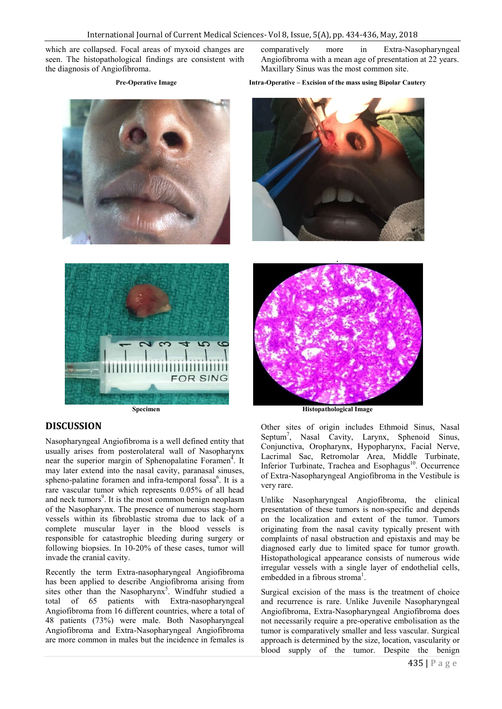which are collapsed. Focal areas of myxoid changes are seen. The histopathological findings are consistent with the diagnosis of Angiofibroma.





comparatively more in Extra-Nasopharyngeal Angiofibroma with a mean age of presentation at 22 years. Maxillary Sinus was the most common site.

**Pre-Operative Image Intra-Operative – Excision of the mass using Bipolar Cautery**





### **Specimen Histopathological Image**

# **DISCUSSION**

Nasopharyngeal Angiofibroma is a well defined entity that usually arises from posterolateral wall of Nasopharynx near the superior margin of Sphenopalatine Foramen<sup>4</sup>. It may later extend into the nasal cavity, paranasal sinuses, spheno-palatine foramen and infra-temporal fossa<sup>6</sup>. It is a rare vascular tumor which represents 0.05% of all head and neck tumors<sup>9</sup>. It is the most common benign neoplasm of the Nasopharynx. The presence of numerous stag-horn vessels within its fibroblastic stroma due to lack of a complete muscular layer in the blood vessels is responsible for catastrophic bleeding during surgery or following biopsies. In 10-20% of these cases, tumor will invade the cranial cavity.

Recently the term Extra-nasopharyngeal Angiofibroma has been applied to describe Angiofibroma arising from sites other than the Nasopharynx<sup>5</sup>. Windfuhr studied a total of 65 patients with Extra-nasopharyngeal Angiofibroma from 16 different countries, where a total of 48 patients (73%) were male. Both Nasopharyngeal Angiofibroma and Extra-Nasopharyngeal Angiofibroma are more common in males but the incidence in females is

Other sites of origin includes Ethmoid Sinus, Nasal Septum7 , Nasal Cavity, Larynx, Sphenoid Sinus, Conjunctiva, Oropharynx, Hypopharynx, Facial Nerve, Lacrimal Sac, Retromolar Area, Middle Turbinate, Inferior Turbinate, Trachea and Esophagus<sup>10</sup>. Occurrence of Extra-Nasopharyngeal Angiofibroma in the Vestibule is very rare.

Unlike Nasopharyngeal Angiofibroma, the clinical presentation of these tumors is non-specific and depends on the localization and extent of the tumor. Tumors originating from the nasal cavity typically present with complaints of nasal obstruction and epistaxis and may be diagnosed early due to limited space for tumor growth. Histopathological appearance consists of numerous wide irregular vessels with a single layer of endothelial cells, embedded in a fibrous stroma<sup>1</sup>.

Surgical excision of the mass is the treatment of choice and recurrence is rare. Unlike Juvenile Nasopharyngeal Angiofibroma, Extra-Nasopharyngeal Angiofibroma does not necessarily require a pre-operative embolisation as the tumor is comparatively smaller and less vascular. Surgical approach is determined by the size, location, vascularity or blood supply of the tumor. Despite the benign